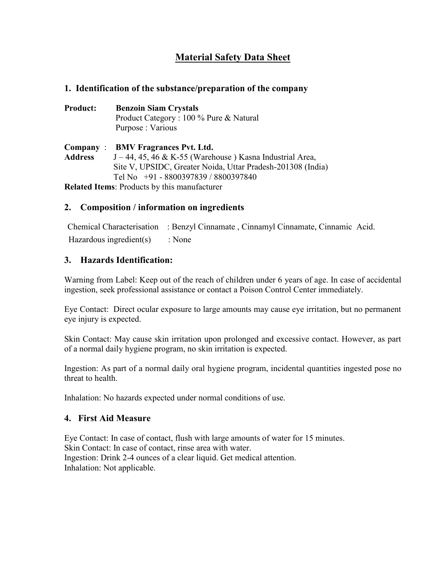# **Material Safety Data Sheet**

### **1. Identification of the substance/preparation of the company**

| <b>Product:</b> | <b>Benzoin Siam Crystals</b>            |
|-----------------|-----------------------------------------|
|                 | Product Category : 100 % Pure & Natural |
|                 | Purpose : Various                       |
|                 |                                         |

**Company** : **BMV Fragrances Pvt. Ltd. Address** J – 44, 45, 46 & K-55 (Warehouse ) Kasna Industrial Area, Site V, UPSIDC, Greater Noida, Uttar Pradesh-201308 (India) Tel No +91 - 8800397839 / 8800397840

**Related Items**: Products by this manufacturer

# **2. Composition / information on ingredients**

Chemical Characterisation : Benzyl Cinnamate , Cinnamyl Cinnamate, Cinnamic Acid. Hazardous ingredient(s) : None

# **3. Hazards Identification:**

Warning from Label: Keep out of the reach of children under 6 years of age. In case of accidental ingestion, seek professional assistance or contact a Poison Control Center immediately.

Eye Contact: Direct ocular exposure to large amounts may cause eye irritation, but no permanent eye injury is expected.

Skin Contact: May cause skin irritation upon prolonged and excessive contact. However, as part of a normal daily hygiene program, no skin irritation is expected.

Ingestion: As part of a normal daily oral hygiene program, incidental quantities ingested pose no threat to health.

Inhalation: No hazards expected under normal conditions of use.

### **4. First Aid Measure**

Eye Contact: In case of contact, flush with large amounts of water for 15 minutes. Skin Contact: In case of contact, rinse area with water. Ingestion: Drink 2-4 ounces of a clear liquid. Get medical attention. Inhalation: Not applicable.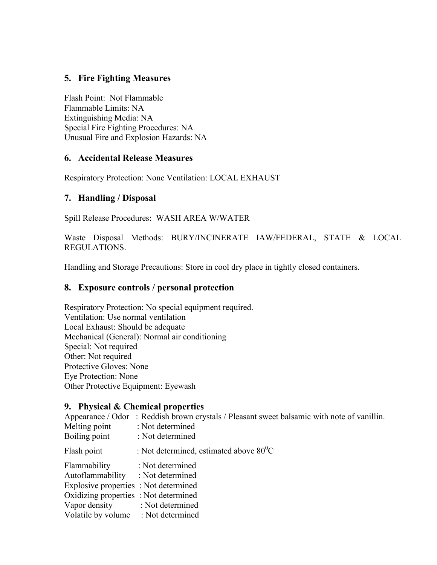# **5. Fire Fighting Measures**

Flash Point: Not Flammable Flammable Limits: NA Extinguishing Media: NA Special Fire Fighting Procedures: NA Unusual Fire and Explosion Hazards: NA

#### **6. Accidental Release Measures**

Respiratory Protection: None Ventilation: LOCAL EXHAUST

#### **7. Handling / Disposal**

Spill Release Procedures: WASH AREA W/WATER

Waste Disposal Methods: BURY/INCINERATE IAW/FEDERAL, STATE & LOCAL REGULATIONS.

Handling and Storage Precautions: Store in cool dry place in tightly closed containers.

#### **8. Exposure controls / personal protection**

Respiratory Protection: No special equipment required. Ventilation: Use normal ventilation Local Exhaust: Should be adequate Mechanical (General): Normal air conditioning Special: Not required Other: Not required Protective Gloves: None Eye Protection: None Other Protective Equipment: Eyewash

#### **9. Physical & Chemical properties**

|                                       | Appearance / Odor: Reddish brown crystals / Pleasant sweet balsamic with note of vanillin. |
|---------------------------------------|--------------------------------------------------------------------------------------------|
| Melting point                         | : Not determined                                                                           |
| Boiling point                         | : Not determined                                                                           |
| Flash point                           | : Not determined, estimated above $80^0$ C                                                 |
| Flammability                          | : Not determined                                                                           |
| Autoflammability : Not determined     |                                                                                            |
| Explosive properties : Not determined |                                                                                            |
| Oxidizing properties : Not determined |                                                                                            |
| Vapor density : Not determined        |                                                                                            |
| Volatile by volume : Not determined   |                                                                                            |
|                                       |                                                                                            |